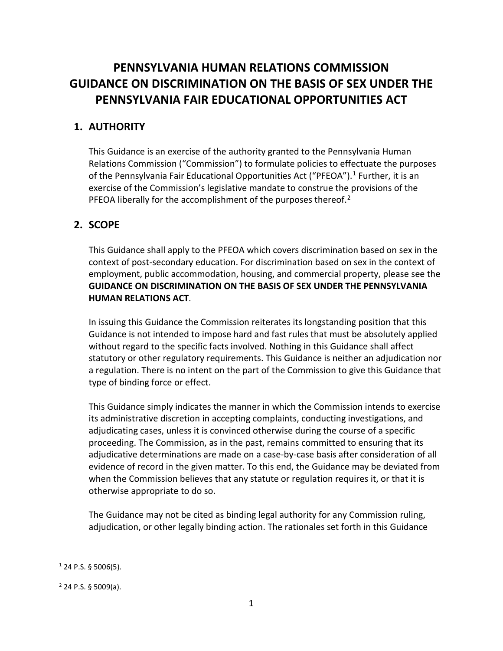# **PENNSYLVANIA HUMAN RELATIONS COMMISSION GUIDANCE ON DISCRIMINATION ON THE BASIS OF SEX UNDER THE PENNSYLVANIA FAIR EDUCATIONAL OPPORTUNITIES ACT**

# **1. AUTHORITY**

This Guidance is an exercise of the authority granted to the Pennsylvania Human Relations Commission ("Commission") to formulate policies to effectuate the purposes of the Pennsylvania Fair Educational Opportunities Act ("PFEOA").<sup>1</sup> Further, it is an exercise of the Commission's legislative mandate to construe the provisions of the PFEOA liberally for the accomplishment of the purposes thereof. $2$ 

# **2. SCOPE**

This Guidance shall apply to the PFEOA which covers discrimination based on sex in the context of post-secondary education. For discrimination based on sex in the context of employment, public accommodation, housing, and commercial property, please see the **GUIDANCE ON DISCRIMINATION ON THE BASIS OF SEX UNDER THE PENNSYLVANIA HUMAN RELATIONS ACT**.

In issuing this Guidance the Commission reiterates its longstanding position that this Guidance is not intended to impose hard and fast rules that must be absolutely applied without regard to the specific facts involved. Nothing in this Guidance shall affect statutory or other regulatory requirements. This Guidance is neither an adjudication nor a regulation. There is no intent on the part of the Commission to give this Guidance that type of binding force or effect.

This Guidance simply indicates the manner in which the Commission intends to exercise its administrative discretion in accepting complaints, conducting investigations, and adjudicating cases, unless it is convinced otherwise during the course of a specific proceeding. The Commission, as in the past, remains committed to ensuring that its adjudicative determinations are made on a case-by-case basis after consideration of all evidence of record in the given matter. To this end, the Guidance may be deviated from when the Commission believes that any statute or regulation requires it, or that it is otherwise appropriate to do so.

The Guidance may not be cited as binding legal authority for any Commission ruling, adjudication, or other legally binding action. The rationales set forth in this Guidance

 $\overline{a}$ 

 $1$  24 P.S. § 5006(5).

 $2$  24 P.S. § 5009(a).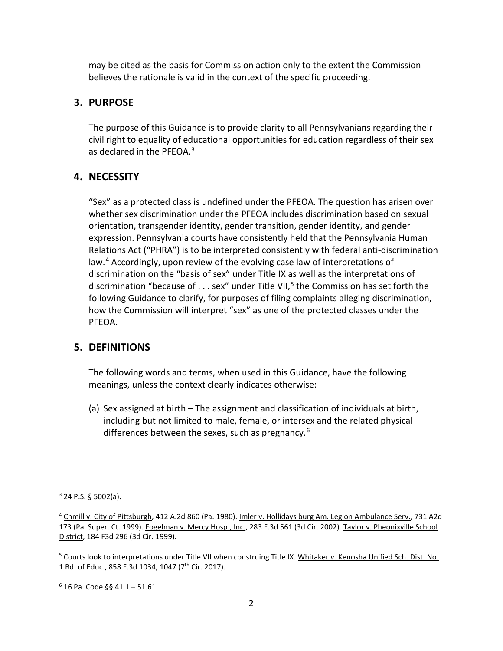may be cited as the basis for Commission action only to the extent the Commission believes the rationale is valid in the context of the specific proceeding.

### **3. PURPOSE**

The purpose of this Guidance is to provide clarity to all Pennsylvanians regarding their civil right to equality of educational opportunities for education regardless of their sex as declared in the PFEOA.<sup>3</sup>

## **4. NECESSITY**

"Sex" as a protected class is undefined under the PFEOA. The question has arisen over whether sex discrimination under the PFEOA includes discrimination based on sexual orientation, transgender identity, gender transition, gender identity, and gender expression. Pennsylvania courts have consistently held that the Pennsylvania Human Relations Act ("PHRA") is to be interpreted consistently with federal anti-discrimination law.<sup>4</sup> Accordingly, upon review of the evolving case law of interpretations of discrimination on the "basis of sex" under Title IX as well as the interpretations of discrimination "because of . . . sex" under Title VII,<sup>5</sup> the Commission has set forth the following Guidance to clarify, for purposes of filing complaints alleging discrimination, how the Commission will interpret "sex" as one of the protected classes under the PFEOA.

#### **5. DEFINITIONS**

The following words and terms, when used in this Guidance, have the following meanings, unless the context clearly indicates otherwise:

(a) Sex assigned at birth – The assignment and classification of individuals at birth, including but not limited to male, female, or intersex and the related physical differences between the sexes, such as pregnancy.<sup>6</sup>

l

 $3$  24 P.S. § 5002(a).

<sup>4</sup> Chmill v. City of Pittsburgh, 412 A.2d 860 (Pa. 1980). Imler v. Hollidays burg Am. Legion Ambulance Serv., 731 A2d 173 (Pa. Super. Ct. 1999). Fogelman v. Mercy Hosp., Inc., 283 F.3d 561 (3d Cir. 2002). Taylor v. Pheonixville School District, 184 F3d 296 (3d Cir. 1999).

<sup>5</sup> Courts look to interpretations under Title VII when construing Title IX. Whitaker v. Kenosha Unified Sch. Dist. No. 1 Bd. of Educ., 858 F.3d 1034, 1047 (7<sup>th</sup> Cir. 2017).

 $6$  16 Pa. Code  $66$  41.1 – 51.61.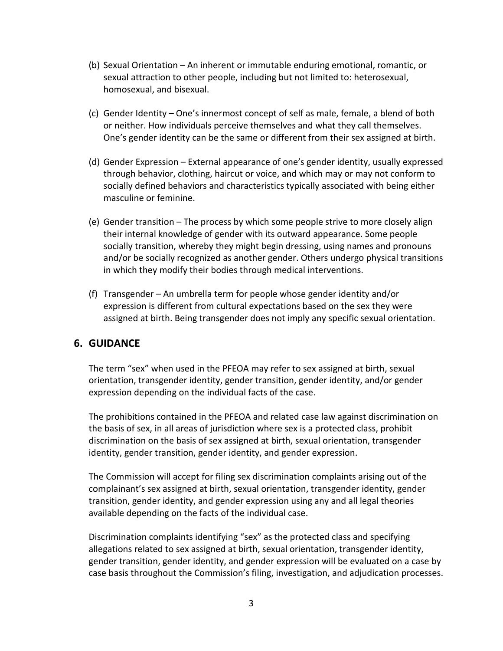- (b) Sexual Orientation An inherent or immutable enduring emotional, romantic, or sexual attraction to other people, including but not limited to: heterosexual, homosexual, and bisexual.
- (c) Gender Identity One's innermost concept of self as male, female, a blend of both or neither. How individuals perceive themselves and what they call themselves. One's gender identity can be the same or different from their sex assigned at birth.
- (d) Gender Expression External appearance of one's gender identity, usually expressed through behavior, clothing, haircut or voice, and which may or may not conform to socially defined behaviors and characteristics typically associated with being either masculine or feminine.
- (e) Gender transition The process by which some people strive to more closely align their internal knowledge of gender with its outward appearance. Some people socially transition, whereby they might begin dressing, using names and pronouns and/or be socially recognized as another gender. Others undergo physical transitions in which they modify their bodies through medical interventions.
- (f) Transgender An umbrella term for people whose gender identity and/or expression is different from cultural expectations based on the sex they were assigned at birth. Being transgender does not imply any specific sexual orientation.

#### **6. GUIDANCE**

The term "sex" when used in the PFEOA may refer to sex assigned at birth, sexual orientation, transgender identity, gender transition, gender identity, and/or gender expression depending on the individual facts of the case.

The prohibitions contained in the PFEOA and related case law against discrimination on the basis of sex, in all areas of jurisdiction where sex is a protected class, prohibit discrimination on the basis of sex assigned at birth, sexual orientation, transgender identity, gender transition, gender identity, and gender expression.

The Commission will accept for filing sex discrimination complaints arising out of the complainant's sex assigned at birth, sexual orientation, transgender identity, gender transition, gender identity, and gender expression using any and all legal theories available depending on the facts of the individual case.

Discrimination complaints identifying "sex" as the protected class and specifying allegations related to sex assigned at birth, sexual orientation, transgender identity, gender transition, gender identity, and gender expression will be evaluated on a case by case basis throughout the Commission's filing, investigation, and adjudication processes.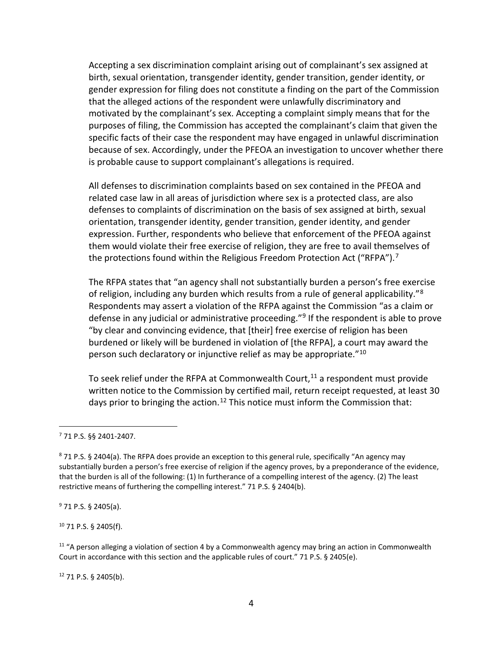Accepting a sex discrimination complaint arising out of complainant's sex assigned at birth, sexual orientation, transgender identity, gender transition, gender identity, or gender expression for filing does not constitute a finding on the part of the Commission that the alleged actions of the respondent were unlawfully discriminatory and motivated by the complainant's sex. Accepting a complaint simply means that for the purposes of filing, the Commission has accepted the complainant's claim that given the specific facts of their case the respondent may have engaged in unlawful discrimination because of sex. Accordingly, under the PFEOA an investigation to uncover whether there is probable cause to support complainant's allegations is required.

All defenses to discrimination complaints based on sex contained in the PFEOA and related case law in all areas of jurisdiction where sex is a protected class, are also defenses to complaints of discrimination on the basis of sex assigned at birth, sexual orientation, transgender identity, gender transition, gender identity, and gender expression. Further, respondents who believe that enforcement of the PFEOA against them would violate their free exercise of religion, they are free to avail themselves of the protections found within the Religious Freedom Protection Act ("RFPA").<sup>7</sup>

The RFPA states that "an agency shall not substantially burden a person's free exercise of religion, including any burden which results from a rule of general applicability."<sup>8</sup> Respondents may assert a violation of the RFPA against the Commission "as a claim or defense in any judicial or administrative proceeding."<sup>9</sup> If the respondent is able to prove "by clear and convincing evidence, that [their] free exercise of religion has been burdened or likely will be burdened in violation of [the RFPA], a court may award the person such declaratory or injunctive relief as may be appropriate."<sup>10</sup>

To seek relief under the RFPA at Commonwealth Court, $11$  a respondent must provide written notice to the Commission by certified mail, return receipt requested, at least 30 days prior to bringing the action.<sup>12</sup> This notice must inform the Commission that:

j

<sup>9</sup> 71 P.S. § 2405(a).

<sup>10</sup> 71 P.S. § 2405(f).

 $11$  "A person alleging a violation of section 4 by a Commonwealth agency may bring an action in Commonwealth Court in accordance with this section and the applicable rules of court." 71 P.S. § 2405(e).

 $12$  71 P.S. § 2405(b).

<sup>7</sup> 71 P.S. §§ 2401-2407.

<sup>871</sup> P.S. § 2404(a). The RFPA does provide an exception to this general rule, specifically "An agency may substantially burden a person's free exercise of religion if the agency proves, by a preponderance of the evidence, that the burden is all of the following: (1) In furtherance of a compelling interest of the agency. (2) The least restrictive means of furthering the compelling interest." 71 P.S. § 2404(b).